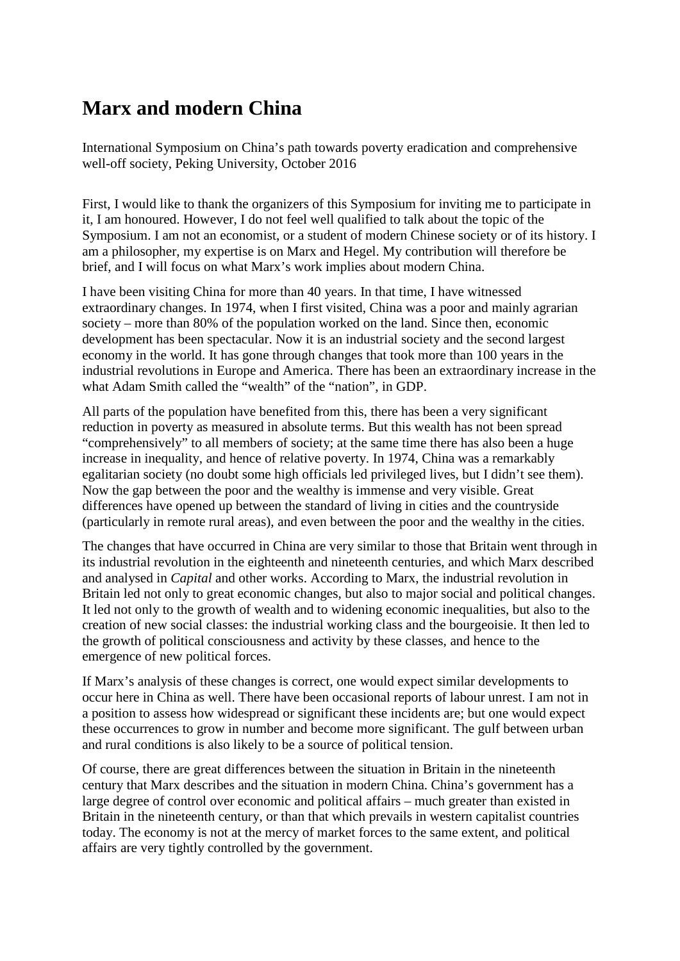## **Marx and modern China**

International Symposium on China's path towards poverty eradication and comprehensive well-off society, Peking University, October 2016

First, I would like to thank the organizers of this Symposium for inviting me to participate in it, I am honoured. However, I do not feel well qualified to talk about the topic of the Symposium. I am not an economist, or a student of modern Chinese society or of its history. I am a philosopher, my expertise is on Marx and Hegel. My contribution will therefore be brief, and I will focus on what Marx's work implies about modern China.

I have been visiting China for more than 40 years. In that time, I have witnessed extraordinary changes. In 1974, when I first visited, China was a poor and mainly agrarian society – more than 80% of the population worked on the land. Since then, economic development has been spectacular. Now it is an industrial society and the second largest economy in the world. It has gone through changes that took more than 100 years in the industrial revolutions in Europe and America. There has been an extraordinary increase in the what Adam Smith called the "wealth" of the "nation", in GDP.

All parts of the population have benefited from this, there has been a very significant reduction in poverty as measured in absolute terms. But this wealth has not been spread "comprehensively" to all members of society; at the same time there has also been a huge increase in inequality, and hence of relative poverty. In 1974, China was a remarkably egalitarian society (no doubt some high officials led privileged lives, but I didn't see them). Now the gap between the poor and the wealthy is immense and very visible. Great differences have opened up between the standard of living in cities and the countryside (particularly in remote rural areas), and even between the poor and the wealthy in the cities.

The changes that have occurred in China are very similar to those that Britain went through in its industrial revolution in the eighteenth and nineteenth centuries, and which Marx described and analysed in *Capital* and other works. According to Marx, the industrial revolution in Britain led not only to great economic changes, but also to major social and political changes. It led not only to the growth of wealth and to widening economic inequalities, but also to the creation of new social classes: the industrial working class and the bourgeoisie. It then led to the growth of political consciousness and activity by these classes, and hence to the emergence of new political forces.

If Marx's analysis of these changes is correct, one would expect similar developments to occur here in China as well. There have been occasional reports of labour unrest. I am not in a position to assess how widespread or significant these incidents are; but one would expect these occurrences to grow in number and become more significant. The gulf between urban and rural conditions is also likely to be a source of political tension.

Of course, there are great differences between the situation in Britain in the nineteenth century that Marx describes and the situation in modern China. China's government has a large degree of control over economic and political affairs – much greater than existed in Britain in the nineteenth century, or than that which prevails in western capitalist countries today. The economy is not at the mercy of market forces to the same extent, and political affairs are very tightly controlled by the government.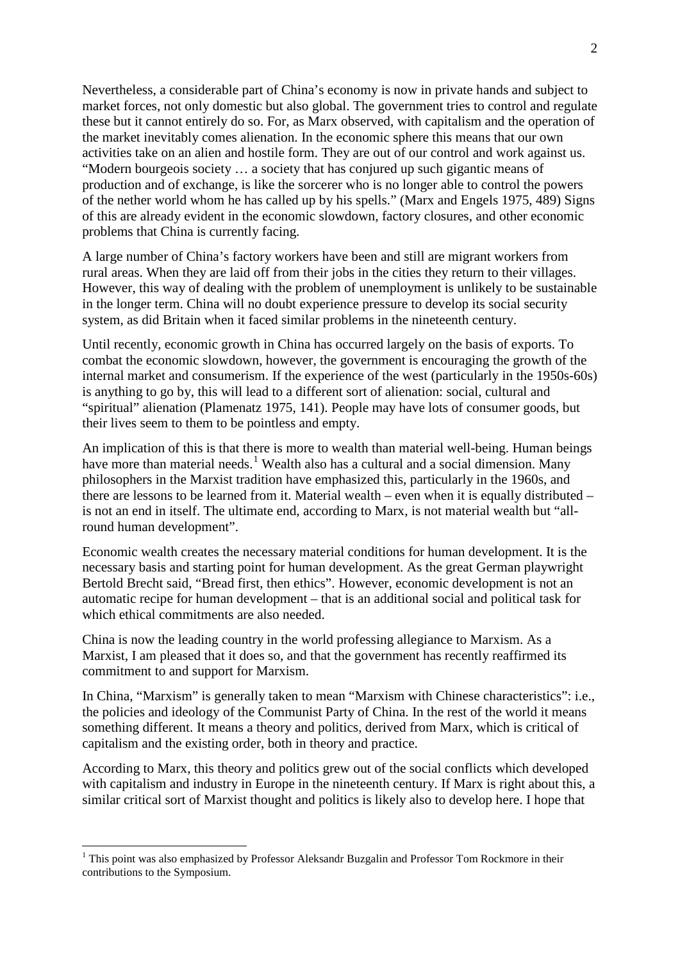Nevertheless, a considerable part of China's economy is now in private hands and subject to market forces, not only domestic but also global. The government tries to control and regulate these but it cannot entirely do so. For, as Marx observed, with capitalism and the operation of the market inevitably comes alienation. In the economic sphere this means that our own activities take on an alien and hostile form. They are out of our control and work against us. "Modern bourgeois society … a society that has conjured up such gigantic means of production and of exchange, is like the sorcerer who is no longer able to control the powers of the nether world whom he has called up by his spells." [\(Marx and Engels 1975, 489\)](#page-2-0) Signs of this are already evident in the economic slowdown, factory closures, and other economic problems that China is currently facing.

A large number of China's factory workers have been and still are migrant workers from rural areas. When they are laid off from their jobs in the cities they return to their villages. However, this way of dealing with the problem of unemployment is unlikely to be sustainable in the longer term. China will no doubt experience pressure to develop its social security system, as did Britain when it faced similar problems in the nineteenth century.

Until recently, economic growth in China has occurred largely on the basis of exports. To combat the economic slowdown, however, the government is encouraging the growth of the internal market and consumerism. If the experience of the west (particularly in the 1950s-60s) is anything to go by, this will lead to a different sort of alienation: social, cultural and "spiritual" alienation [\(Plamenatz 1975, 141\)](#page-2-1). People may have lots of consumer goods, but their lives seem to them to be pointless and empty.

An implication of this is that there is more to wealth than material well-being. Human beings have more than material needs.<sup>[1](#page-1-0)</sup> Wealth also has a cultural and a social dimension. Many philosophers in the Marxist tradition have emphasized this, particularly in the 1960s, and there are lessons to be learned from it. Material wealth – even when it is equally distributed – is not an end in itself. The ultimate end, according to Marx, is not material wealth but "allround human development".

Economic wealth creates the necessary material conditions for human development. It is the necessary basis and starting point for human development. As the great German playwright Bertold Brecht said, "Bread first, then ethics". However, economic development is not an automatic recipe for human development – that is an additional social and political task for which ethical commitments are also needed.

China is now the leading country in the world professing allegiance to Marxism. As a Marxist, I am pleased that it does so, and that the government has recently reaffirmed its commitment to and support for Marxism.

In China, "Marxism" is generally taken to mean "Marxism with Chinese characteristics": i.e., the policies and ideology of the Communist Party of China. In the rest of the world it means something different. It means a theory and politics, derived from Marx, which is critical of capitalism and the existing order, both in theory and practice.

According to Marx, this theory and politics grew out of the social conflicts which developed with capitalism and industry in Europe in the nineteenth century. If Marx is right about this, a similar critical sort of Marxist thought and politics is likely also to develop here. I hope that

<span id="page-1-0"></span> $1$  This point was also emphasized by Professor Aleksandr Buzgalin and Professor Tom Rockmore in their contributions to the Symposium.